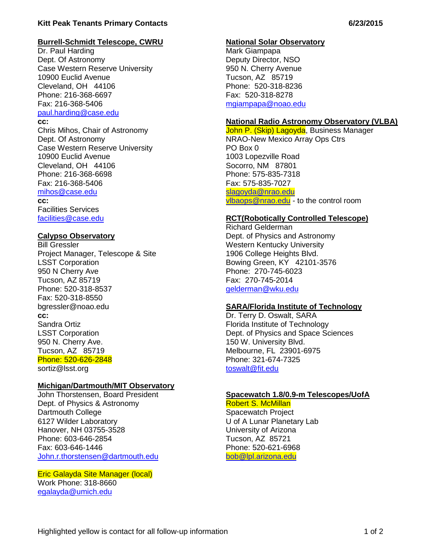#### **Kitt Peak Tenants Primary Contacts 6/23/2015**

#### **Burrell-Schmidt Telescope, CWRU**

Dr. Paul Harding Dept. Of Astronomy Case Western Reserve University 10900 Euclid Avenue Cleveland, OH 44106 Phone: 216-368-6697 Fax: 216-368-5406 [paul.harding@case.edu](mailto:paul.harding@case.edu) **cc:**

Chris Mihos, Chair of Astronomy Dept. Of Astronomy Case Western Reserve University 10900 Euclid Avenue Cleveland, OH 44106 Phone: 216-368-6698 Fax: 216-368-5406 [mihos@case.edu](mailto:mihos@case.edu) **cc:** Facilities Services [facilities@case.edu](mailto:facilities@case.edu)

#### **Calypso Observatory**

Bill Gressler Project Manager, Telescope & Site LSST Corporation 950 N Cherry Ave Tucson, AZ 85719 Phone: 520-318-8537 Fax: 520-318-8550 bgressler@noao.edu **cc:** Sandra Ortiz LSST Corporation 950 N. Cherry Ave. Tucson, AZ 85719 Phone: 520-626-2848 sortiz@lsst.org

#### **Michigan/Dartmouth/MIT Observatory**

John Thorstensen, Board President Dept. of Physics & Astronomy Dartmouth College 6127 Wilder Laboratory Hanover, NH 03755-3528 Phone: 603-646-2854 Fax: 603-646-1446 [John.r.thorstensen@dartmouth.edu](mailto:John.r.thorstensen@dartmouth.edu)

## Eric Galayda Site Manager (local)

Work Phone: 318-8660 [egalayda@umich.edu](mailto:egalayda@umich.edu)

#### **National Solar Observatory**

Mark Giampapa Deputy Director, NSO 950 N. Cherry Avenue Tucson, AZ 85719 Phone: 520-318-8236 Fax: 520-318-8278 [mgiampapa@noao.edu](mailto:mgiampapa@noao.edu)

#### **National Radio Astronomy Observatory (VLBA)**

John P. (Skip) Lagoyda, Business Manager NRAO-New Mexico Array Ops Ctrs PO Box 0 1003 Lopezville Road Socorro, NM 87801 Phone: 575-835-7318 Fax: 575-835-7027 [slagoyda@nrao.edu](mailto:slagoyda@nrao.edu) [vlbaops@nrao.edu](mailto:vlbaops@nrao.edu) - to the control room

#### **RCT(Robotically Controlled Telescope)**

Richard Gelderman Dept. of Physics and Astronomy Western Kentucky University 1906 College Heights Blvd. Bowing Green, KY 42101-3576 Phone: 270-745-6023 Fax: 270-745-2014 [gelderman@wku.edu](mailto:gelderman@wku.edu)

#### **SARA/Florida Institute of Technology**

Dr. Terry D. Oswalt, SARA Florida Institute of Technology Dept. of Physics and Space Sciences 150 W. University Blvd. Melbourne, FL 23901-6975 Phone: 321-674-7325 [toswalt@fit.edu](mailto:toswalt@fit.edu)

#### **Spacewatch 1.8/0.9-m Telescopes/UofA** Robert S. McMillan

Spacewatch Project

U of A Lunar Planetary Lab University of Arizona Tucson, AZ 85721 Phone: 520-621-6968 [bob@lpl.arizona.edu](mailto:bob@lpl.arizona.edu)